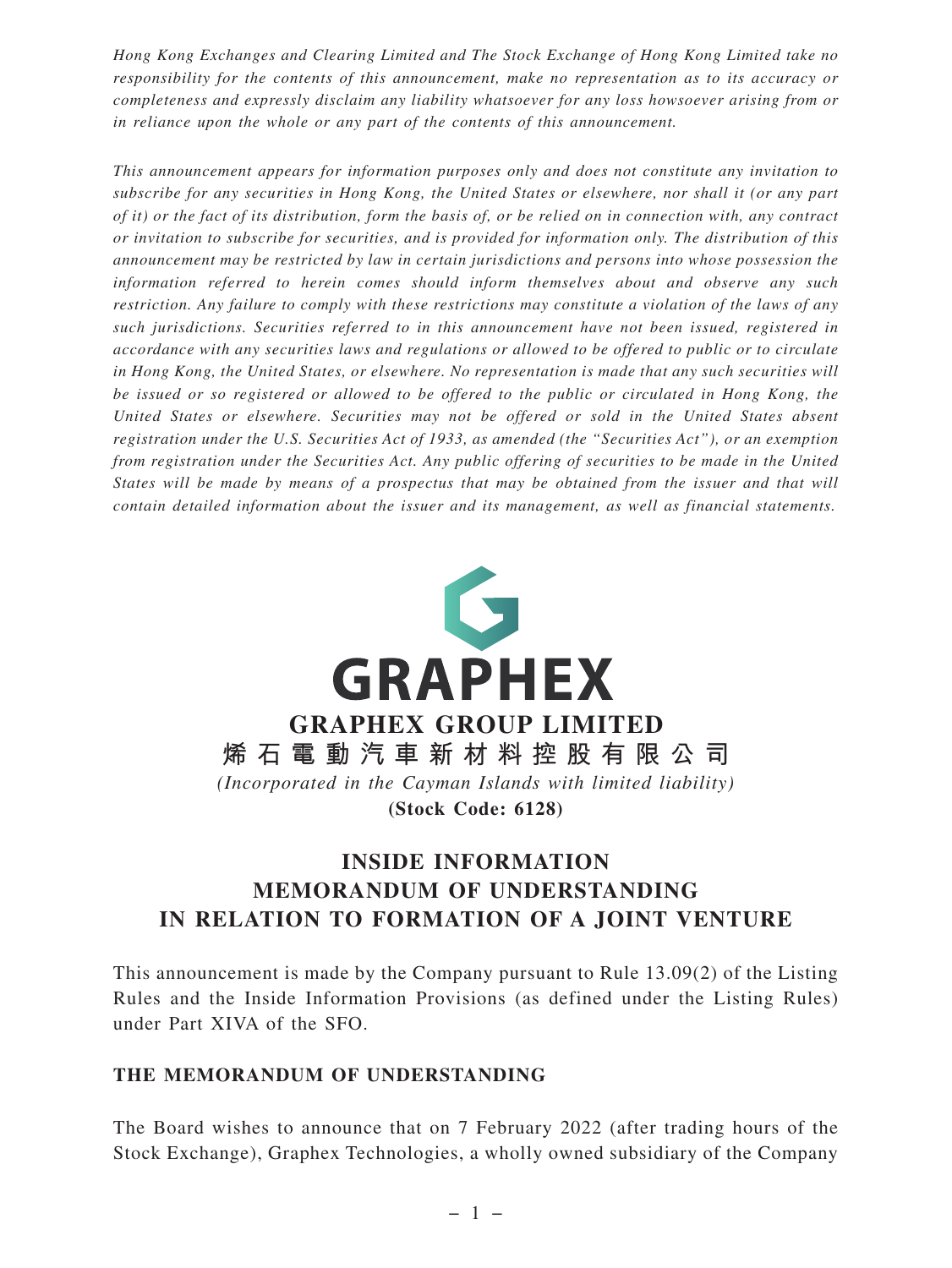*Hong Kong Exchanges and Clearing Limited and The Stock Exchange of Hong Kong Limited take no responsibility for the contents of this announcement, make no representation as to its accuracy or completeness and expressly disclaim any liability whatsoever for any loss howsoever arising from or in reliance upon the whole or any part of the contents of this announcement.*

*This announcement appears for information purposes only and does not constitute any invitation to subscribe for any securities in Hong Kong, the United States or elsewhere, nor shall it (or any part of it) or the fact of its distribution, form the basis of, or be relied on in connection with, any contract or invitation to subscribe for securities, and is provided for information only. The distribution of this announcement may be restricted by law in certain jurisdictions and persons into whose possession the information referred to herein comes should inform themselves about and observe any such restriction. Any failure to comply with these restrictions may constitute a violation of the laws of any such jurisdictions. Securities referred to in this announcement have not been issued, registered in accordance with any securities laws and regulations or allowed to be offered to public or to circulate in Hong Kong, the United States, or elsewhere. No representation is made that any such securities will be issued or so registered or allowed to be offered to the public or circulated in Hong Kong, the United States or elsewhere. Securities may not be offered or sold in the United States absent registration under the U.S. Securities Act of 1933, as amended (the "Securities Act"), or an exemption from registration under the Securities Act. Any public offering of securities to be made in the United States will be made by means of a prospectus that may be obtained from the issuer and that will contain detailed information about the issuer and its management, as well as financial statements.*



# **INSIDE INFORMATION MEMORANDUM OF UNDERSTANDING IN RELATION TO FORMATION OF A JOINT VENTURE**

This announcement is made by the Company pursuant to Rule 13.09(2) of the Listing Rules and the Inside Information Provisions (as defined under the Listing Rules) under Part XIVA of the SFO.

#### **THE MEMORANDUM OF UNDERSTANDING**

The Board wishes to announce that on 7 February 2022 (after trading hours of the Stock Exchange), Graphex Technologies, a wholly owned subsidiary of the Company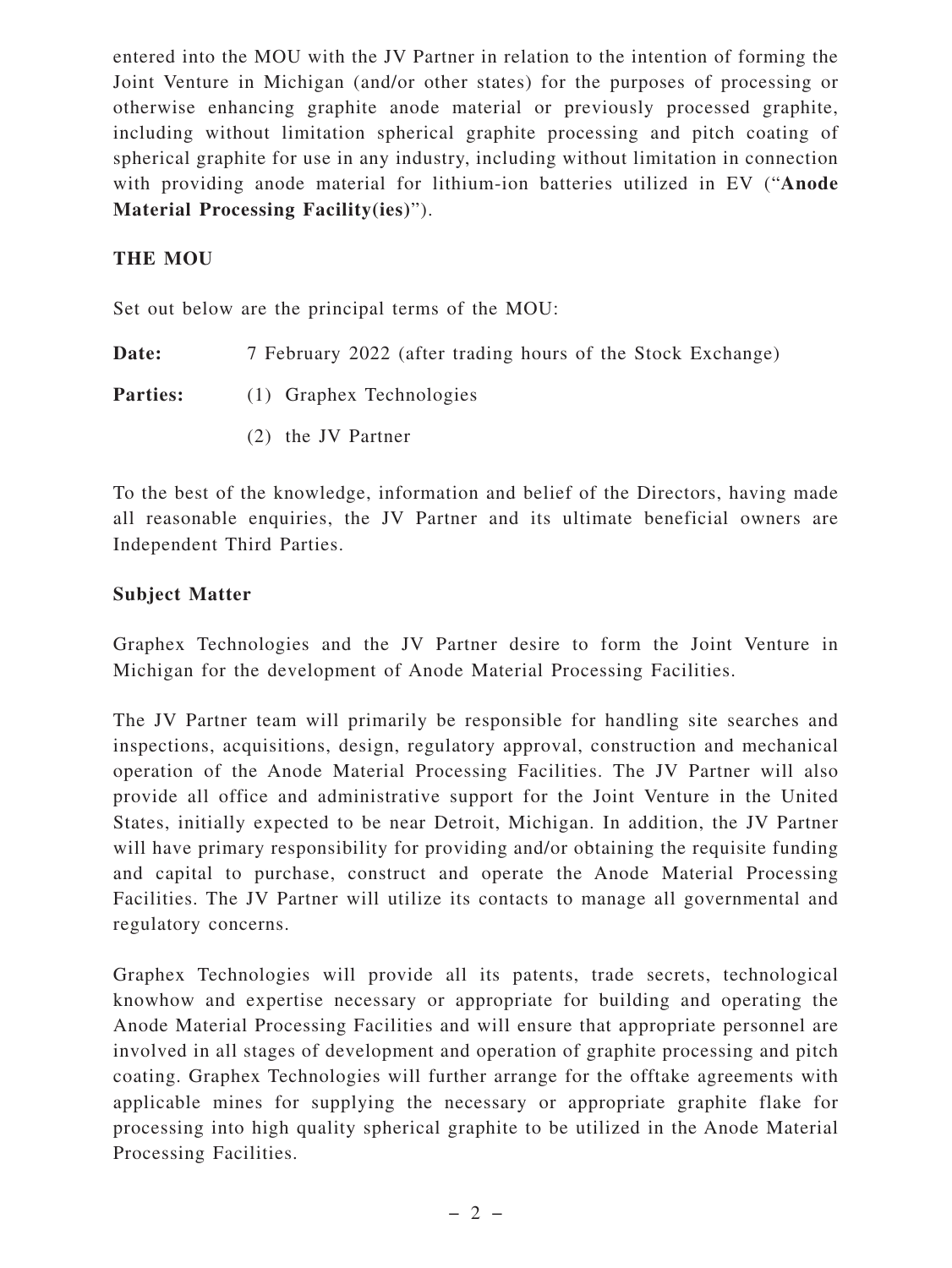entered into the MOU with the JV Partner in relation to the intention of forming the Joint Venture in Michigan (and/or other states) for the purposes of processing or otherwise enhancing graphite anode material or previously processed graphite, including without limitation spherical graphite processing and pitch coating of spherical graphite for use in any industry, including without limitation in connection with providing anode material for lithium-ion batteries utilized in EV ("**Anode Material Processing Facility(ies)**").

## **THE MOU**

Set out below are the principal terms of the MOU:

**Date:** 7 February 2022 (after trading hours of the Stock Exchange)

Parties: (1) Graphex Technologies

(2) the JV Partner

To the best of the knowledge, information and belief of the Directors, having made all reasonable enquiries, the JV Partner and its ultimate beneficial owners are Independent Third Parties.

## **Subject Matter**

Graphex Technologies and the JV Partner desire to form the Joint Venture in Michigan for the development of Anode Material Processing Facilities.

The JV Partner team will primarily be responsible for handling site searches and inspections, acquisitions, design, regulatory approval, construction and mechanical operation of the Anode Material Processing Facilities. The JV Partner will also provide all office and administrative support for the Joint Venture in the United States, initially expected to be near Detroit, Michigan. In addition, the JV Partner will have primary responsibility for providing and/or obtaining the requisite funding and capital to purchase, construct and operate the Anode Material Processing Facilities. The JV Partner will utilize its contacts to manage all governmental and regulatory concerns.

Graphex Technologies will provide all its patents, trade secrets, technological knowhow and expertise necessary or appropriate for building and operating the Anode Material Processing Facilities and will ensure that appropriate personnel are involved in all stages of development and operation of graphite processing and pitch coating. Graphex Technologies will further arrange for the offtake agreements with applicable mines for supplying the necessary or appropriate graphite flake for processing into high quality spherical graphite to be utilized in the Anode Material Processing Facilities.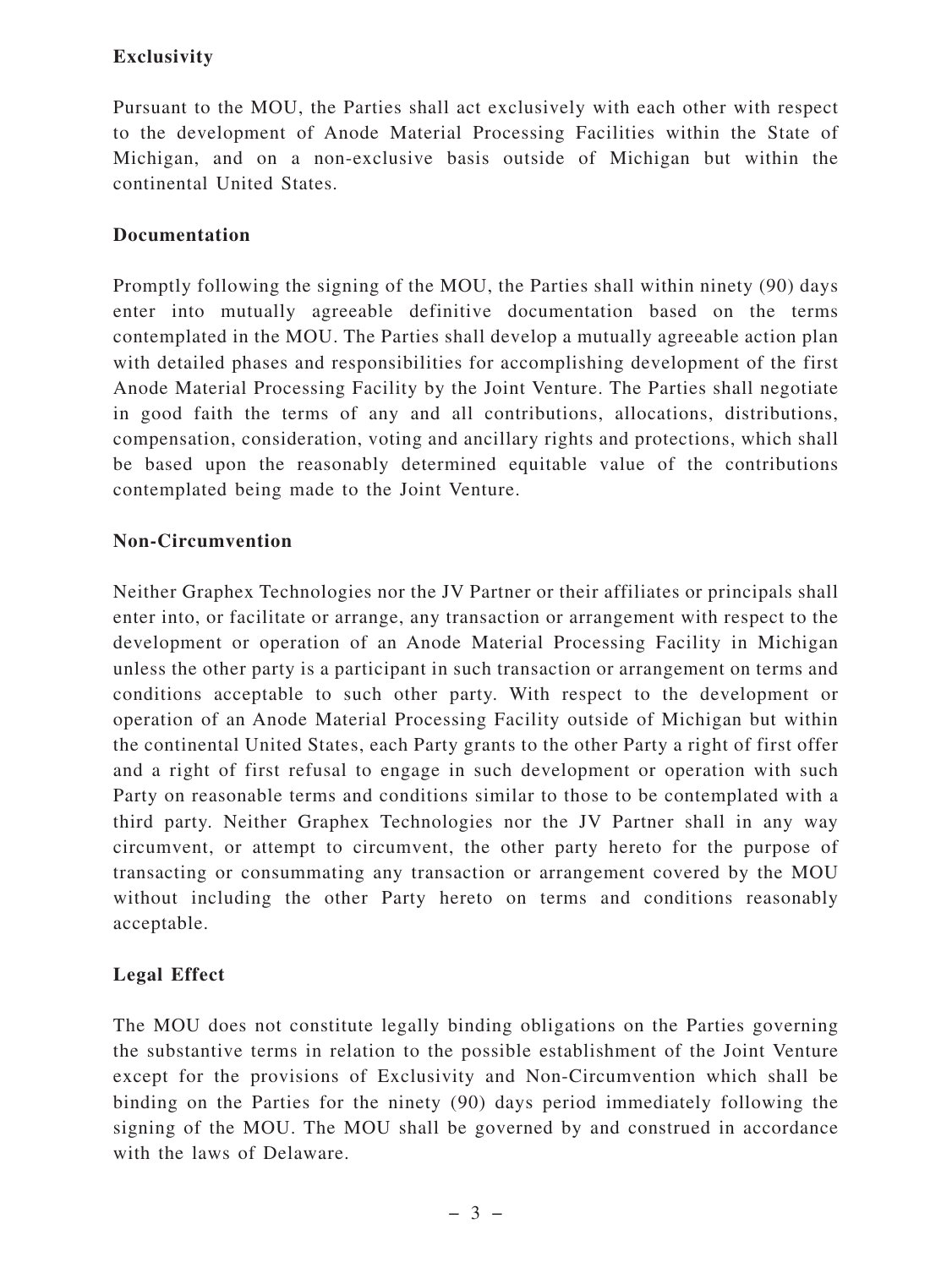# **Exclusivity**

Pursuant to the MOU, the Parties shall act exclusively with each other with respect to the development of Anode Material Processing Facilities within the State of Michigan, and on a non-exclusive basis outside of Michigan but within the continental United States.

## **Documentation**

Promptly following the signing of the MOU, the Parties shall within ninety (90) days enter into mutually agreeable definitive documentation based on the terms contemplated in the MOU. The Parties shall develop a mutually agreeable action plan with detailed phases and responsibilities for accomplishing development of the first Anode Material Processing Facility by the Joint Venture. The Parties shall negotiate in good faith the terms of any and all contributions, allocations, distributions, compensation, consideration, voting and ancillary rights and protections, which shall be based upon the reasonably determined equitable value of the contributions contemplated being made to the Joint Venture.

#### **Non-Circumvention**

Neither Graphex Technologies nor the JV Partner or their affiliates or principals shall enter into, or facilitate or arrange, any transaction or arrangement with respect to the development or operation of an Anode Material Processing Facility in Michigan unless the other party is a participant in such transaction or arrangement on terms and conditions acceptable to such other party. With respect to the development or operation of an Anode Material Processing Facility outside of Michigan but within the continental United States, each Party grants to the other Party a right of first offer and a right of first refusal to engage in such development or operation with such Party on reasonable terms and conditions similar to those to be contemplated with a third party. Neither Graphex Technologies nor the JV Partner shall in any way circumvent, or attempt to circumvent, the other party hereto for the purpose of transacting or consummating any transaction or arrangement covered by the MOU without including the other Party hereto on terms and conditions reasonably acceptable.

#### **Legal Effect**

The MOU does not constitute legally binding obligations on the Parties governing the substantive terms in relation to the possible establishment of the Joint Venture except for the provisions of Exclusivity and Non-Circumvention which shall be binding on the Parties for the ninety (90) days period immediately following the signing of the MOU. The MOU shall be governed by and construed in accordance with the laws of Delaware.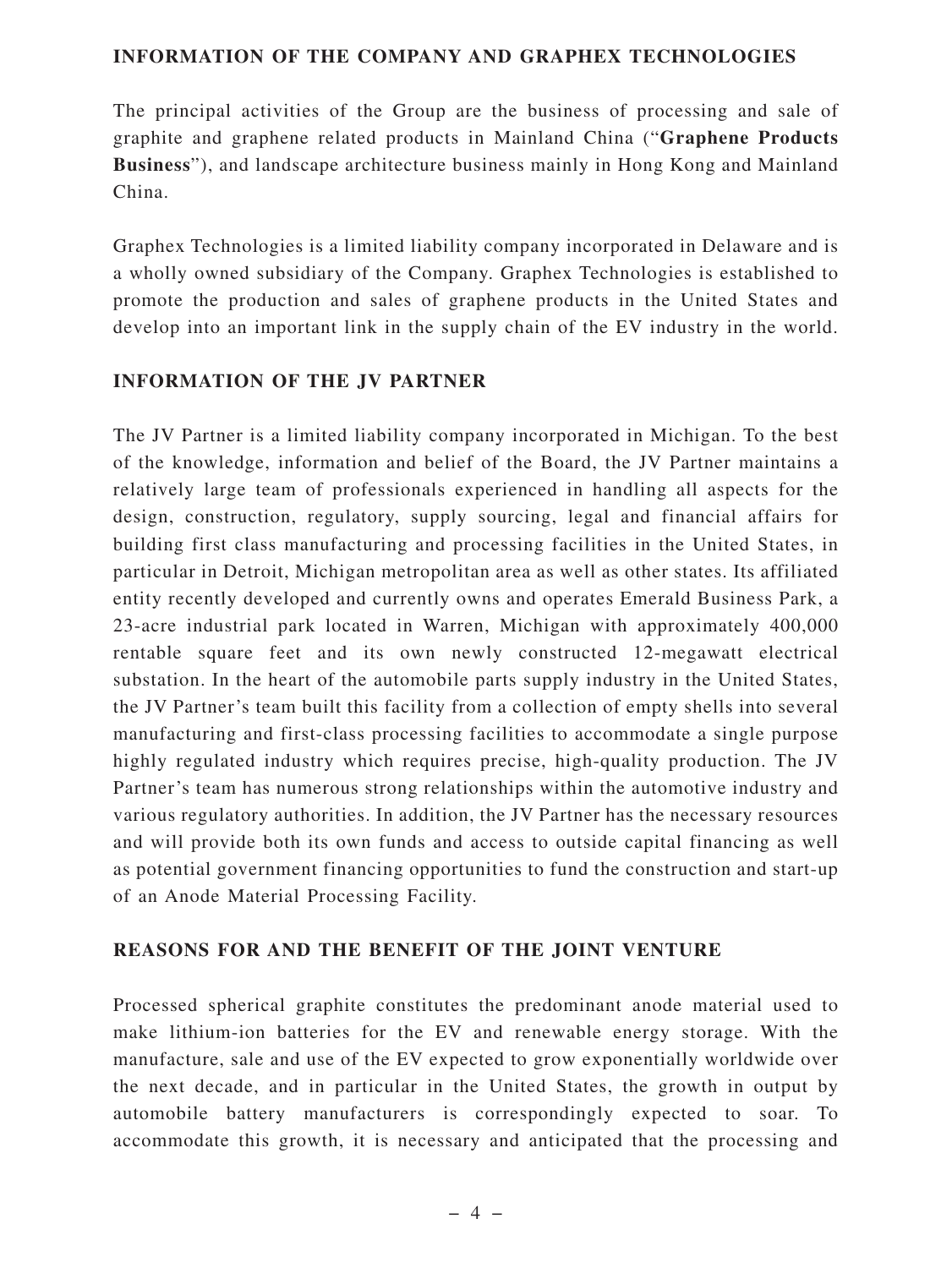#### **INFORMATION OF THE COMPANY AND GRAPHEX TECHNOLOGIES**

The principal activities of the Group are the business of processing and sale of graphite and graphene related products in Mainland China ("**Graphene Products Business**"), and landscape architecture business mainly in Hong Kong and Mainland China.

Graphex Technologies is a limited liability company incorporated in Delaware and is a wholly owned subsidiary of the Company. Graphex Technologies is established to promote the production and sales of graphene products in the United States and develop into an important link in the supply chain of the EV industry in the world.

## **INFORMATION OF THE JV PARTNER**

The JV Partner is a limited liability company incorporated in Michigan. To the best of the knowledge, information and belief of the Board, the JV Partner maintains a relatively large team of professionals experienced in handling all aspects for the design, construction, regulatory, supply sourcing, legal and financial affairs for building first class manufacturing and processing facilities in the United States, in particular in Detroit, Michigan metropolitan area as well as other states. Its affiliated entity recently developed and currently owns and operates Emerald Business Park, a 23-acre industrial park located in Warren, Michigan with approximately 400,000 rentable square feet and its own newly constructed 12-megawatt electrical substation. In the heart of the automobile parts supply industry in the United States, the JV Partner's team built this facility from a collection of empty shells into several manufacturing and first-class processing facilities to accommodate a single purpose highly regulated industry which requires precise, high-quality production. The JV Partner's team has numerous strong relationships within the automotive industry and various regulatory authorities. In addition, the JV Partner has the necessary resources and will provide both its own funds and access to outside capital financing as well as potential government financing opportunities to fund the construction and start-up of an Anode Material Processing Facility.

#### **REASONS FOR AND THE BENEFIT OF THE JOINT VENTURE**

Processed spherical graphite constitutes the predominant anode material used to make lithium-ion batteries for the EV and renewable energy storage. With the manufacture, sale and use of the EV expected to grow exponentially worldwide over the next decade, and in particular in the United States, the growth in output by automobile battery manufacturers is correspondingly expected to soar. To accommodate this growth, it is necessary and anticipated that the processing and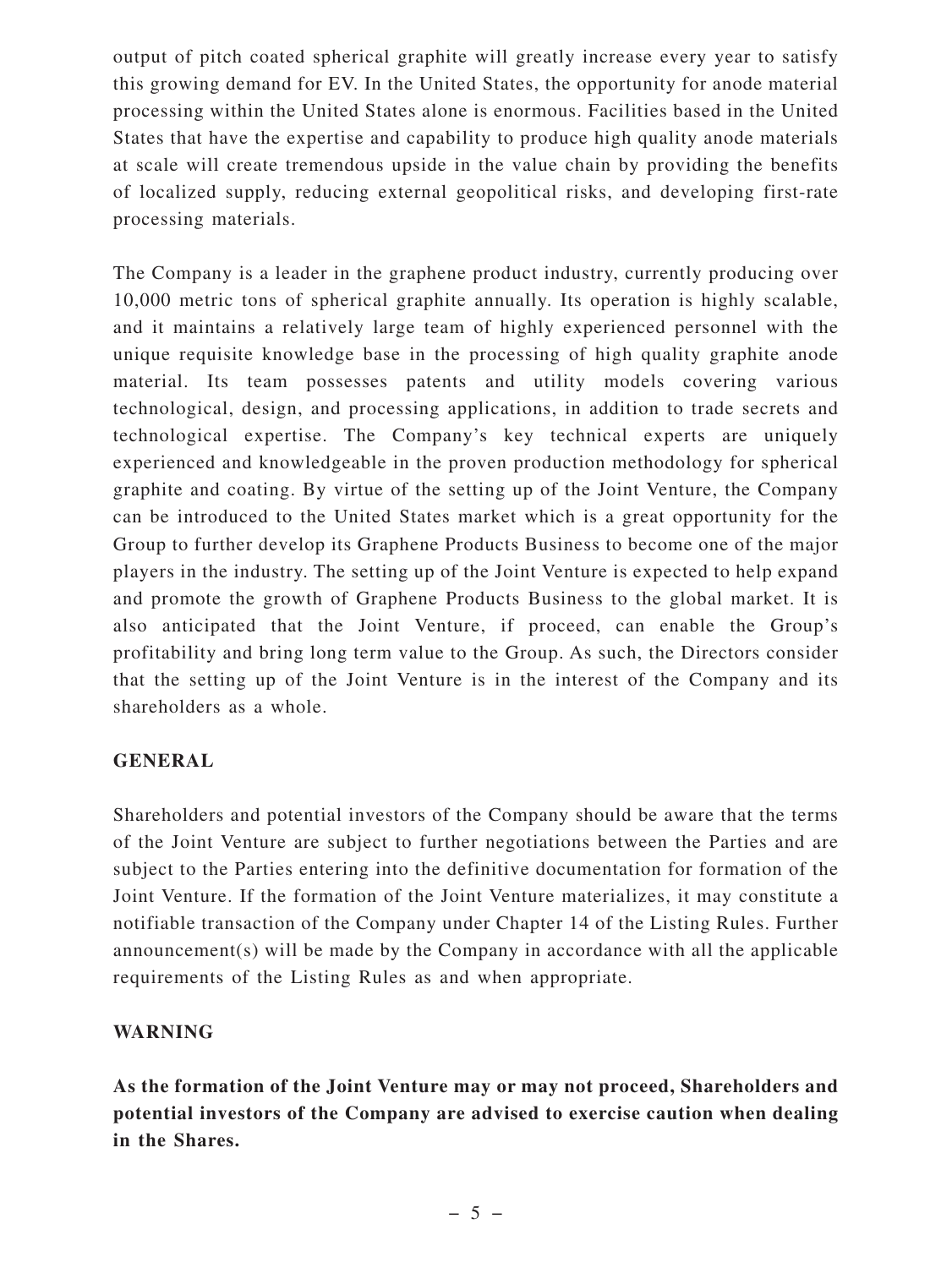output of pitch coated spherical graphite will greatly increase every year to satisfy this growing demand for EV. In the United States, the opportunity for anode material processing within the United States alone is enormous. Facilities based in the United States that have the expertise and capability to produce high quality anode materials at scale will create tremendous upside in the value chain by providing the benefits of localized supply, reducing external geopolitical risks, and developing first-rate processing materials.

The Company is a leader in the graphene product industry, currently producing over 10,000 metric tons of spherical graphite annually. Its operation is highly scalable, and it maintains a relatively large team of highly experienced personnel with the unique requisite knowledge base in the processing of high quality graphite anode material. Its team possesses patents and utility models covering various technological, design, and processing applications, in addition to trade secrets and technological expertise. The Company's key technical experts are uniquely experienced and knowledgeable in the proven production methodology for spherical graphite and coating. By virtue of the setting up of the Joint Venture, the Company can be introduced to the United States market which is a great opportunity for the Group to further develop its Graphene Products Business to become one of the major players in the industry. The setting up of the Joint Venture is expected to help expand and promote the growth of Graphene Products Business to the global market. It is also anticipated that the Joint Venture, if proceed, can enable the Group's profitability and bring long term value to the Group. As such, the Directors consider that the setting up of the Joint Venture is in the interest of the Company and its shareholders as a whole.

#### **GENERAL**

Shareholders and potential investors of the Company should be aware that the terms of the Joint Venture are subject to further negotiations between the Parties and are subject to the Parties entering into the definitive documentation for formation of the Joint Venture. If the formation of the Joint Venture materializes, it may constitute a notifiable transaction of the Company under Chapter 14 of the Listing Rules. Further announcement(s) will be made by the Company in accordance with all the applicable requirements of the Listing Rules as and when appropriate.

#### **WARNING**

**As the formation of the Joint Venture may or may not proceed, Shareholders and potential investors of the Company are advised to exercise caution when dealing in the Shares.**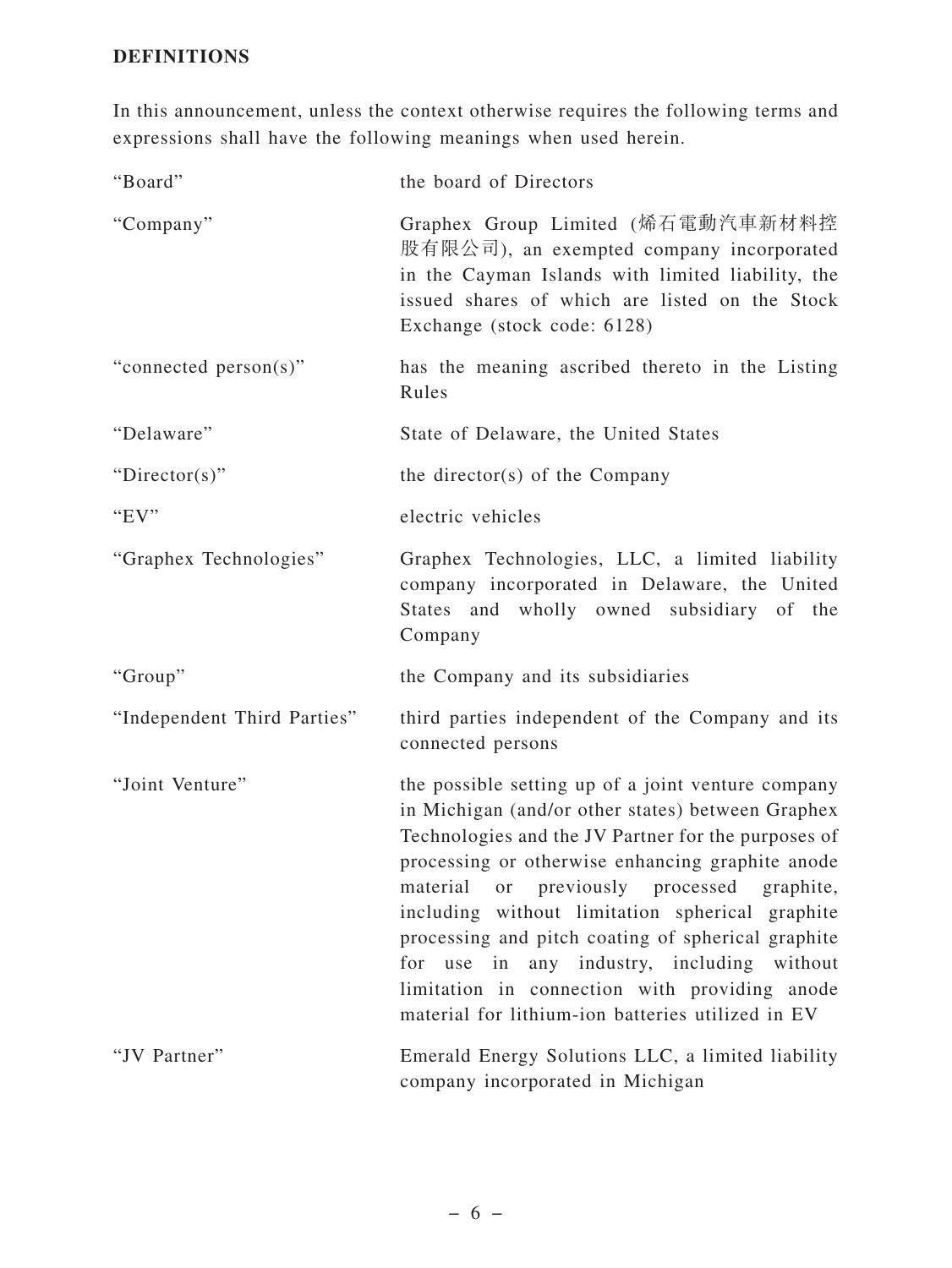# **DEFINITIONS**

In this announcement, unless the context otherwise requires the following terms and expressions shall have the following meanings when used herein.

| "Board"                     | the board of Directors                                                                                                                                                                                                                                                                                                                                                                                                                                                                                                        |
|-----------------------------|-------------------------------------------------------------------------------------------------------------------------------------------------------------------------------------------------------------------------------------------------------------------------------------------------------------------------------------------------------------------------------------------------------------------------------------------------------------------------------------------------------------------------------|
| "Company"                   | Graphex Group Limited (烯石電動汽車新材料控<br>股有限公司), an exempted company incorporated<br>in the Cayman Islands with limited liability, the<br>issued shares of which are listed on the Stock<br>Exchange (stock code: 6128)                                                                                                                                                                                                                                                                                                           |
| "connected person(s)"       | has the meaning ascribed thereto in the Listing<br>Rules                                                                                                                                                                                                                                                                                                                                                                                                                                                                      |
| "Delaware"                  | State of Delaware, the United States                                                                                                                                                                                                                                                                                                                                                                                                                                                                                          |
| "Director(s)"               | the director(s) of the Company                                                                                                                                                                                                                                                                                                                                                                                                                                                                                                |
| "EV"                        | electric vehicles                                                                                                                                                                                                                                                                                                                                                                                                                                                                                                             |
| "Graphex Technologies"      | Graphex Technologies, LLC, a limited liability<br>company incorporated in Delaware, the United<br>States and wholly owned subsidiary of the<br>Company                                                                                                                                                                                                                                                                                                                                                                        |
| "Group"                     | the Company and its subsidiaries                                                                                                                                                                                                                                                                                                                                                                                                                                                                                              |
| "Independent Third Parties" | third parties independent of the Company and its<br>connected persons                                                                                                                                                                                                                                                                                                                                                                                                                                                         |
| "Joint Venture"             | the possible setting up of a joint venture company<br>in Michigan (and/or other states) between Graphex<br>Technologies and the JV Partner for the purposes of<br>processing or otherwise enhancing graphite anode<br>material or previously processed graphite,<br>including without limitation spherical graphite<br>processing and pitch coating of spherical graphite<br>for use in any industry, including without<br>limitation in connection with providing anode<br>material for lithium-ion batteries utilized in EV |
| "JV Partner"                | Emerald Energy Solutions LLC, a limited liability<br>company incorporated in Michigan                                                                                                                                                                                                                                                                                                                                                                                                                                         |